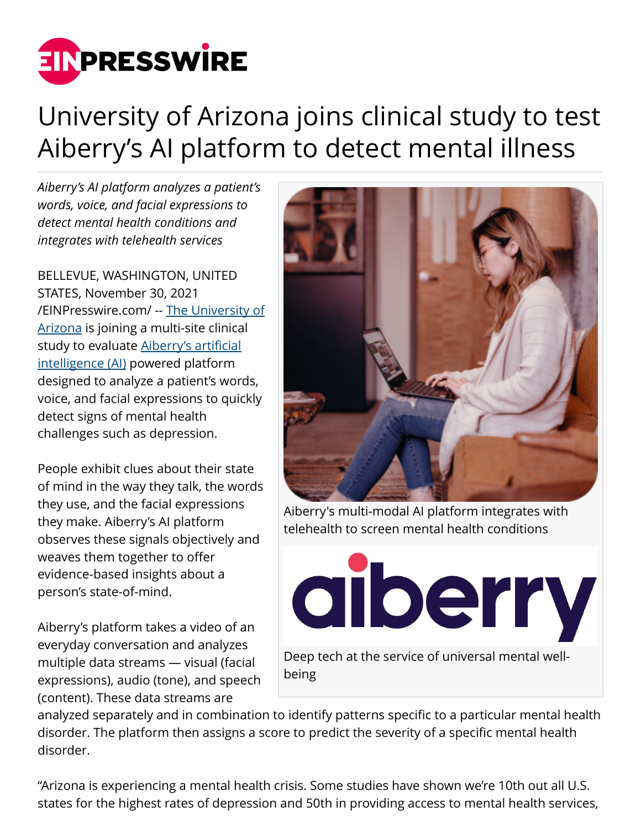

## University of Arizona joins clinical study to test Aiberry's AI platform to detect mental illness

*Aiberry's AI platform analyzes a patient's words, voice, and facial expressions to detect mental health conditions and integrates with telehealth services*

BELLEVUE, WASHINGTON, UNITED STATES, November 30, 2021 [/EINPresswire.com/](http://www.einpresswire.com) -- [The University of](https://www.arizona.edu/) [Arizona](https://www.arizona.edu/) is joining a multi-site clinical study to evaluate [Aiberry's artificial](http://www.aiberry.io/) [intelligence \(AI\)](http://www.aiberry.io/) powered platform designed to analyze a patient's words, voice, and facial expressions to quickly detect signs of mental health challenges such as depression.

People exhibit clues about their state of mind in the way they talk, the words they use, and the facial expressions they make. Aiberry's AI platform observes these signals objectively and weaves them together to offer evidence-based insights about a person's state-of-mind.

Aiberry's platform takes a video of an everyday conversation and analyzes multiple data streams — visual (facial expressions), audio (tone), and speech (content). These data streams are



Aiberry's multi-modal AI platform integrates with telehealth to screen mental health conditions



analyzed separately and in combination to identify patterns specific to a particular mental health disorder. The platform then assigns a score to predict the severity of a specific mental health disorder.

"Arizona is experiencing a mental health crisis. Some studies have shown we're 10th out all U.S. states for the highest rates of depression and 50th in providing access to mental health services,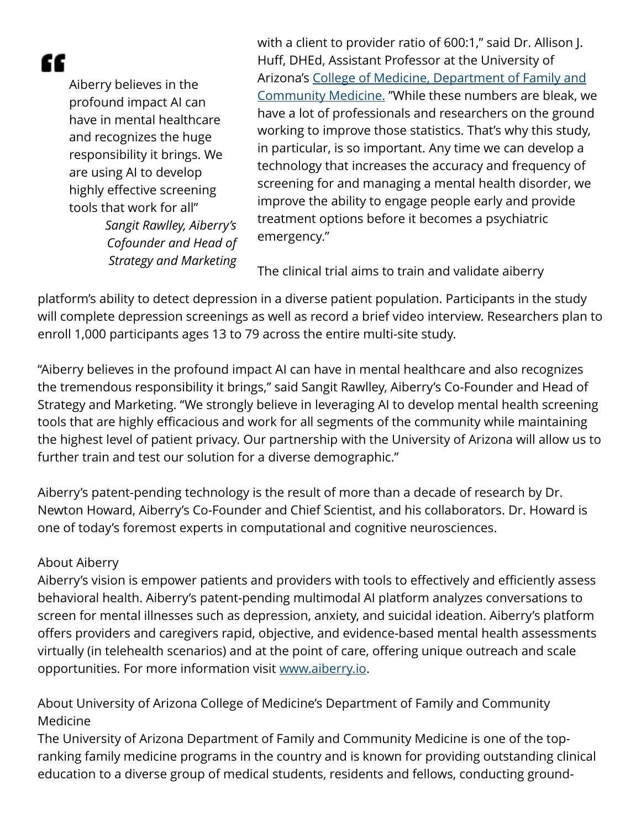ſſ

Aiberry believes in the profound impact AI can have in mental healthcare and recognizes the huge responsibility it brings. We are using AI to develop highly effective screening tools that work for all" *Sangit Rawlley, Aiberry's Cofounder and Head of Strategy and Marketing*

with a client to provider ratio of 600:1," said Dr. Allison J. Huff, DHEd, Assistant Professor at the University of Arizona's [College of Medicine, Department of Family and](https://www.fcm.arizona.edu/) [Community Medicine.](https://www.fcm.arizona.edu/) "While these numbers are bleak, we have a lot of professionals and researchers on the ground working to improve those statistics. That's why this study, in particular, is so important. Any time we can develop a technology that increases the accuracy and frequency of screening for and managing a mental health disorder, we improve the ability to engage people early and provide treatment options before it becomes a psychiatric emergency."

The clinical trial aims to train and validate aiberry

platform's ability to detect depression in a diverse patient population. Participants in the study will complete depression screenings as well as record a brief video interview. Researchers plan to enroll 1,000 participants ages 13 to 79 across the entire multi-site study.

"Aiberry believes in the profound impact AI can have in mental healthcare and also recognizes the tremendous responsibility it brings," said Sangit Rawlley, Aiberry's Co-Founder and Head of Strategy and Marketing. "We strongly believe in leveraging AI to develop mental health screening tools that are highly efficacious and work for all segments of the community while maintaining the highest level of patient privacy. Our partnership with the University of Arizona will allow us to further train and test our solution for a diverse demographic."

Aiberry's patent-pending technology is the result of more than a decade of research by Dr. Newton Howard, Aiberry's Co-Founder and Chief Scientist, and his collaborators. Dr. Howard is one of today's foremost experts in computational and cognitive neurosciences.

## About Aiberry

Aiberry's vision is empower patients and providers with tools to effectively and efficiently assess behavioral health. Aiberry's patent-pending multimodal AI platform analyzes conversations to screen for mental illnesses such as depression, anxiety, and suicidal ideation. Aiberry's platform offers providers and caregivers rapid, objective, and evidence-based mental health assessments virtually (in telehealth scenarios) and at the point of care, offering unique outreach and scale opportunities. For more information visit [www.aiberry.io](http://www.aiberry.io).

About University of Arizona College of Medicine's Department of Family and Community Medicine

The University of Arizona Department of Family and Community Medicine is one of the topranking family medicine programs in the country and is known for providing outstanding clinical education to a diverse group of medical students, residents and fellows, conducting ground